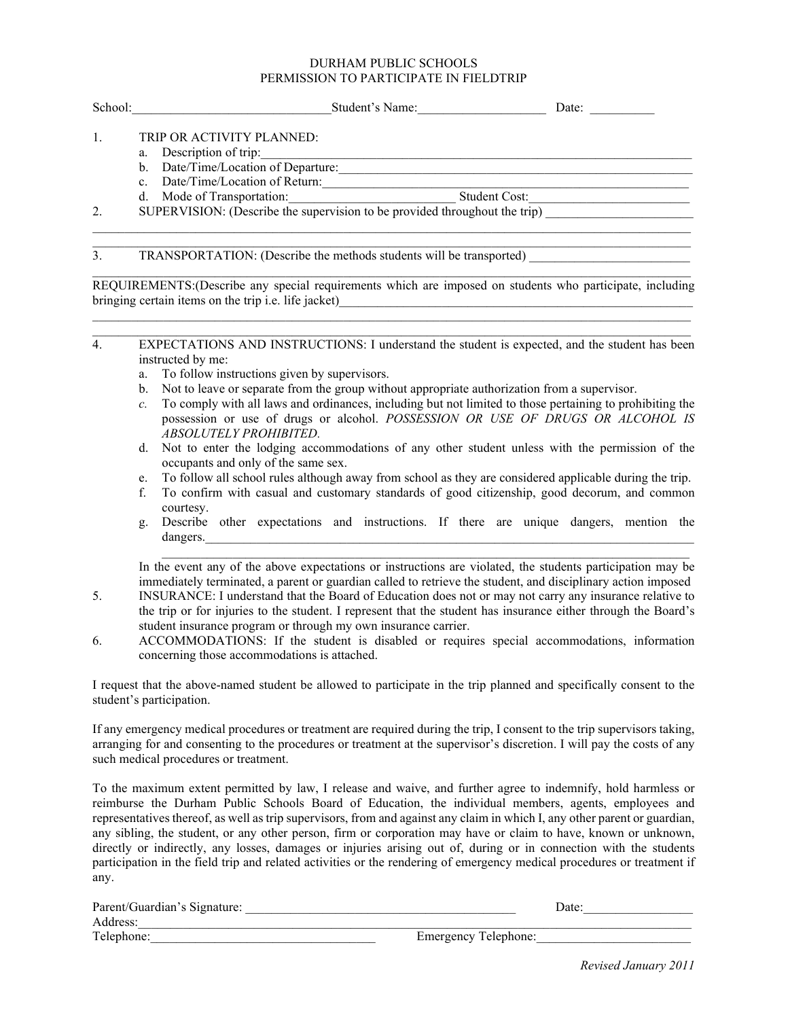### DURHAM PUBLIC SCHOOLS PERMISSION TO PARTICIPATE IN FIELDTRIP

| School: | Student's Name:                                                            | Date: |
|---------|----------------------------------------------------------------------------|-------|
|         | TRIP OR ACTIVITY PLANNED:<br>Description of trip:                          |       |
|         | a.<br>Date/Time/Location of Departure:<br>b.                               |       |
|         | Date/Time/Location of Return:<br>$\mathbf{c}$                              |       |
|         | Student Cost:<br>Mode of Transportation:<br>d.                             |       |
| 2.      | SUPERVISION: (Describe the supervision to be provided throughout the trip) |       |
|         |                                                                            |       |
| 3.      | TRANSPORTATION: (Describe the methods students will be transported)        |       |

\_\_\_\_\_\_\_\_\_\_\_\_\_\_\_\_\_\_\_\_\_\_\_\_\_\_\_\_\_\_\_\_\_\_\_\_\_\_\_\_\_\_\_\_\_\_\_\_\_\_\_\_\_\_\_\_\_\_\_\_\_\_\_\_\_\_\_\_\_\_\_\_\_\_\_\_\_\_\_\_\_\_\_\_\_\_\_\_\_\_\_\_\_ REQUIREMENTS:(Describe any special requirements which are imposed on students who participate, including bringing certain items on the trip *i.e.* life jacket)  $\mathcal{L}_\mathcal{L} = \{ \mathcal{L}_\mathcal{L} = \{ \mathcal{L}_\mathcal{L} = \{ \mathcal{L}_\mathcal{L} = \{ \mathcal{L}_\mathcal{L} = \{ \mathcal{L}_\mathcal{L} = \{ \mathcal{L}_\mathcal{L} = \{ \mathcal{L}_\mathcal{L} = \{ \mathcal{L}_\mathcal{L} = \{ \mathcal{L}_\mathcal{L} = \{ \mathcal{L}_\mathcal{L} = \{ \mathcal{L}_\mathcal{L} = \{ \mathcal{L}_\mathcal{L} = \{ \mathcal{L}_\mathcal{L} = \{ \mathcal{L}_\mathcal{$ 

- \_\_\_\_\_\_\_\_\_\_\_\_\_\_\_\_\_\_\_\_\_\_\_\_\_\_\_\_\_\_\_\_\_\_\_\_\_\_\_\_\_\_\_\_\_\_\_\_\_\_\_\_\_\_\_\_\_\_\_\_\_\_\_\_\_\_\_\_\_\_\_\_\_\_\_\_\_\_\_\_\_\_\_\_\_\_\_\_\_\_\_\_\_ 4. EXPECTATIONS AND INSTRUCTIONS: I understand the student is expected, and the student has been instructed by me:
	- a. To follow instructions given by supervisors.
	- b. Not to leave or separate from the group without appropriate authorization from a supervisor.
	- *c.* To comply with all laws and ordinances, including but not limited to those pertaining to prohibiting the possession or use of drugs or alcohol. *POSSESSION OR USE OF DRUGS OR ALCOHOL IS ABSOLUTELY PROHIBITED.*
	- d. Not to enter the lodging accommodations of any other student unless with the permission of the occupants and only of the same sex.
	- e. To follow all school rules although away from school as they are considered applicable during the trip.
	- f. To confirm with casual and customary standards of good citizenship, good decorum, and common courtesy.
	- g. Describe other expectations and instructions. If there are unique dangers, mention the  $\rm{dangers.}$

\_\_\_\_\_\_\_\_\_\_\_\_\_\_\_\_\_\_\_\_\_\_\_\_\_\_\_\_\_\_\_\_\_\_\_\_\_\_\_\_\_\_\_\_\_\_\_\_\_\_\_\_\_\_\_\_\_\_\_\_\_\_\_\_\_\_\_\_\_\_\_\_\_\_\_\_\_\_\_\_\_\_

In the event any of the above expectations or instructions are violated, the students participation may be immediately terminated, a parent or guardian called to retrieve the student, and disciplinary action imposed

- 5. INSURANCE: I understand that the Board of Education does not or may not carry any insurance relative to the trip or for injuries to the student. I represent that the student has insurance either through the Board's student insurance program or through my own insurance carrier.
- 6. ACCOMMODATIONS: If the student is disabled or requires special accommodations, information concerning those accommodations is attached.

I request that the above-named student be allowed to participate in the trip planned and specifically consent to the student's participation.

If any emergency medical procedures or treatment are required during the trip, I consent to the trip supervisors taking, arranging for and consenting to the procedures or treatment at the supervisor's discretion. I will pay the costs of any such medical procedures or treatment.

To the maximum extent permitted by law, I release and waive, and further agree to indemnify, hold harmless or reimburse the Durham Public Schools Board of Education, the individual members, agents, employees and representatives thereof, as well as trip supervisors, from and against any claim in which I, any other parent or guardian, any sibling, the student, or any other person, firm or corporation may have or claim to have, known or unknown, directly or indirectly, any losses, damages or injuries arising out of, during or in connection with the students participation in the field trip and related activities or the rendering of emergency medical procedures or treatment if any.

| Parent/Guardian's Signature: | Date:                       |
|------------------------------|-----------------------------|
| Address:                     |                             |
| Telephone:                   | <b>Emergency Telephone:</b> |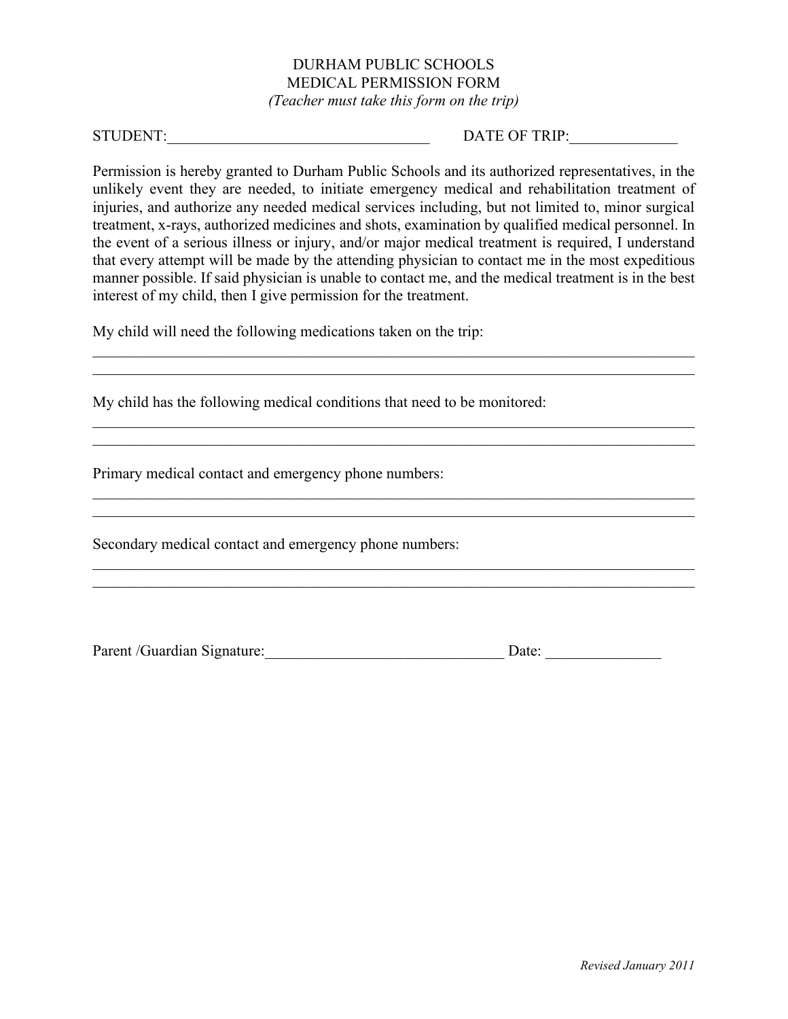# DURHAM PUBLIC SCHOOLS MEDICAL PERMISSION FORM

*(Teacher must take this form on the trip)*

## STUDENT:\_\_\_\_\_\_\_\_\_\_\_\_\_\_\_\_\_\_\_\_\_\_\_\_\_\_\_\_\_\_\_\_\_\_ DATE OF TRIP:\_\_\_\_\_\_\_\_\_\_\_\_\_\_

Permission is hereby granted to Durham Public Schools and its authorized representatives, in the unlikely event they are needed, to initiate emergency medical and rehabilitation treatment of injuries, and authorize any needed medical services including, but not limited to, minor surgical treatment, x-rays, authorized medicines and shots, examination by qualified medical personnel. In the event of a serious illness or injury, and/or major medical treatment is required, I understand that every attempt will be made by the attending physician to contact me in the most expeditious manner possible. If said physician is unable to contact me, and the medical treatment is in the best interest of my child, then I give permission for the treatment.

\_\_\_\_\_\_\_\_\_\_\_\_\_\_\_\_\_\_\_\_\_\_\_\_\_\_\_\_\_\_\_\_\_\_\_\_\_\_\_\_\_\_\_\_\_\_\_\_\_\_\_\_\_\_\_\_\_\_\_\_\_\_\_\_\_\_\_\_\_\_\_\_\_\_\_\_\_\_  $\_$  , and the contribution of the contribution of the contribution of the contribution of  $\mathcal{L}_\text{max}$ 

\_\_\_\_\_\_\_\_\_\_\_\_\_\_\_\_\_\_\_\_\_\_\_\_\_\_\_\_\_\_\_\_\_\_\_\_\_\_\_\_\_\_\_\_\_\_\_\_\_\_\_\_\_\_\_\_\_\_\_\_\_\_\_\_\_\_\_\_\_\_\_\_\_\_\_\_\_\_ \_\_\_\_\_\_\_\_\_\_\_\_\_\_\_\_\_\_\_\_\_\_\_\_\_\_\_\_\_\_\_\_\_\_\_\_\_\_\_\_\_\_\_\_\_\_\_\_\_\_\_\_\_\_\_\_\_\_\_\_\_\_\_\_\_\_\_\_\_\_\_\_\_\_\_\_\_\_

\_\_\_\_\_\_\_\_\_\_\_\_\_\_\_\_\_\_\_\_\_\_\_\_\_\_\_\_\_\_\_\_\_\_\_\_\_\_\_\_\_\_\_\_\_\_\_\_\_\_\_\_\_\_\_\_\_\_\_\_\_\_\_\_\_\_\_\_\_\_\_\_\_\_\_\_\_\_

 $\mathcal{L}_\mathcal{L} = \{ \mathcal{L}_\mathcal{L} = \{ \mathcal{L}_\mathcal{L} = \{ \mathcal{L}_\mathcal{L} = \{ \mathcal{L}_\mathcal{L} = \{ \mathcal{L}_\mathcal{L} = \{ \mathcal{L}_\mathcal{L} = \{ \mathcal{L}_\mathcal{L} = \{ \mathcal{L}_\mathcal{L} = \{ \mathcal{L}_\mathcal{L} = \{ \mathcal{L}_\mathcal{L} = \{ \mathcal{L}_\mathcal{L} = \{ \mathcal{L}_\mathcal{L} = \{ \mathcal{L}_\mathcal{L} = \{ \mathcal{L}_\mathcal{$ \_\_\_\_\_\_\_\_\_\_\_\_\_\_\_\_\_\_\_\_\_\_\_\_\_\_\_\_\_\_\_\_\_\_\_\_\_\_\_\_\_\_\_\_\_\_\_\_\_\_\_\_\_\_\_\_\_\_\_\_\_\_\_\_\_\_\_\_\_\_\_\_\_\_\_\_\_\_

My child will need the following medications taken on the trip:

My child has the following medical conditions that need to be monitored:

Primary medical contact and emergency phone numbers:

Secondary medical contact and emergency phone numbers:

Parent /Guardian Signature:\_\_\_\_\_\_\_\_\_\_\_\_\_\_\_\_\_\_\_\_\_\_\_\_\_\_\_\_\_\_\_ Date: \_\_\_\_\_\_\_\_\_\_\_\_\_\_\_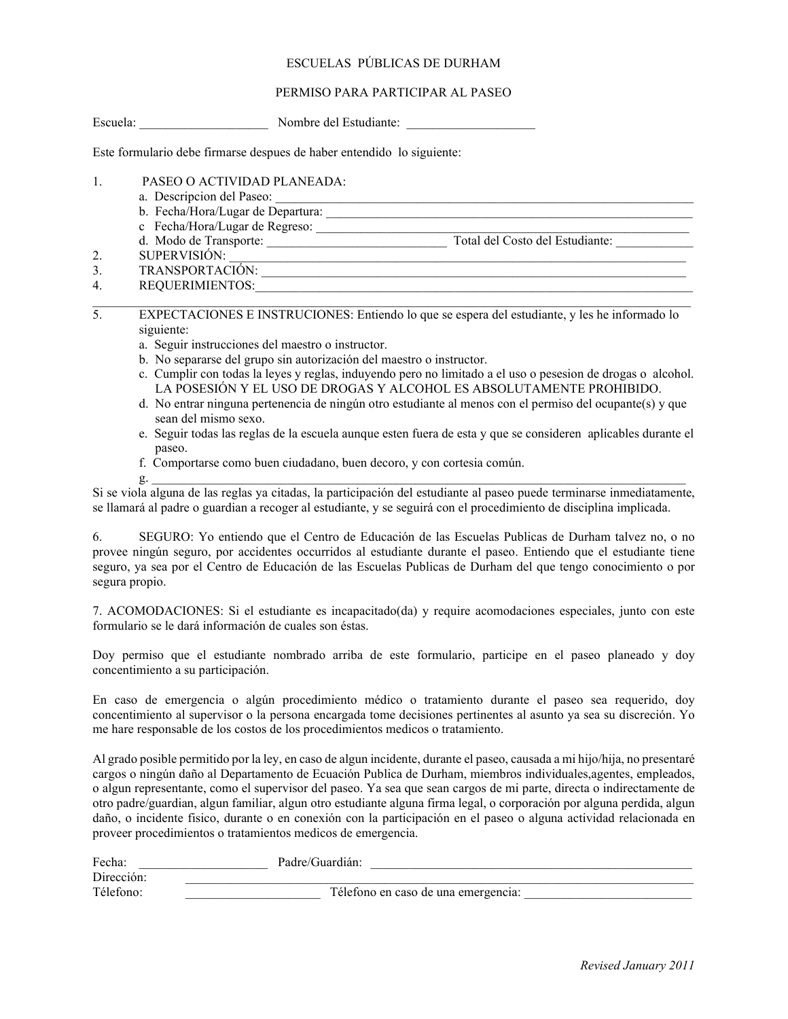## ESCUELAS PÚBLICAS DE DURHAM

### PERMISO PARA PARTICIPAR AL PASEO

| Escuela: | Nombre del Estudiante: |  |
|----------|------------------------|--|
|          |                        |  |

Este formulario debe firmarse despues de haber entendido lo siguiente:

- 1. PASEO O ACTIVIDAD PLANEADA:
	- a. Descripcion del Paseo: \_\_\_\_\_\_\_\_\_\_\_\_\_\_\_\_\_\_\_\_\_\_\_\_\_\_\_\_\_\_\_\_\_\_\_\_\_\_\_\_\_\_\_\_\_\_\_\_\_\_\_\_\_\_\_\_\_\_\_\_\_\_\_\_\_
	- b. Fecha/Hora/Lugar de Departura: \_\_\_\_\_\_\_\_\_\_\_\_\_\_\_\_\_\_\_\_\_\_\_\_\_\_\_\_\_\_\_\_\_\_\_\_\_\_\_\_\_\_\_\_\_\_\_\_\_\_\_\_\_\_\_\_\_
	- c Fecha/Hora/Lugar de Regreso: \_\_\_\_\_\_\_\_\_\_\_\_\_\_\_\_\_\_\_\_\_\_\_\_\_\_\_\_\_\_\_\_\_\_\_\_\_\_\_\_\_\_\_\_\_\_\_\_\_\_\_\_\_\_\_\_\_\_
	- d. Modo de Transporte: \_\_\_\_\_\_\_\_\_\_\_\_\_\_\_\_\_\_\_\_\_\_\_\_\_\_\_\_ Total del Costo del Estudiante: \_\_\_\_\_\_\_\_\_\_\_\_
- 2. SUPERVISIÓN:
- 3. TRANSPORTACIÓN: \_\_\_\_\_\_\_\_\_\_\_\_\_\_\_\_\_\_\_\_\_\_\_\_\_\_\_\_\_\_\_\_\_\_\_\_\_\_\_\_\_\_\_\_\_\_\_\_\_\_\_\_\_\_\_\_\_\_\_\_\_\_\_\_\_\_
- 4. REQUERIMIENTOS:\_\_\_\_\_\_\_\_\_\_\_\_\_\_\_\_\_\_\_\_\_\_\_\_\_\_\_\_\_\_\_\_\_\_\_\_\_\_\_\_\_\_\_\_\_\_\_\_\_\_\_\_\_\_\_\_\_\_\_\_\_\_\_\_\_\_\_\_  $\mathcal{L}_\mathcal{L} = \{ \mathcal{L}_\mathcal{L} = \{ \mathcal{L}_\mathcal{L} = \{ \mathcal{L}_\mathcal{L} = \{ \mathcal{L}_\mathcal{L} = \{ \mathcal{L}_\mathcal{L} = \{ \mathcal{L}_\mathcal{L} = \{ \mathcal{L}_\mathcal{L} = \{ \mathcal{L}_\mathcal{L} = \{ \mathcal{L}_\mathcal{L} = \{ \mathcal{L}_\mathcal{L} = \{ \mathcal{L}_\mathcal{L} = \{ \mathcal{L}_\mathcal{L} = \{ \mathcal{L}_\mathcal{L} = \{ \mathcal{L}_\mathcal{$

5. EXPECTACIONES E INSTRUCIONES: Entiendo lo que se espera del estudiante, y les he informado lo siguiente:

- a. Seguir instrucciones del maestro o instructor.
- b. No separarse del grupo sin autorizaciόn del maestro o instructor.
- c. Cumplir con todas la leyes y reglas, induyendo pero no limitado a el uso o pesesion de drogas o alcohol. LA POSESIÓN Y EL USO DE DROGAS Y ALCOHOL ES ABSOLUTAMENTE PROHIBIDO.
- d. No entrar ninguna pertenencia de ningún otro estudiante al menos con el permiso del ocupante(s) y que sean del mismo sexo.
- e. Seguir todas las reglas de la escuela aunque esten fuera de esta y que se consideren aplicables durante el paseo.
- f. Comportarse como buen ciudadano, buen decoro, y con cortesia común.
- $g.$   $\Box$

Si se viola alguna de las reglas ya citadas, la participaciόn del estudiante al paseo puede terminarse inmediatamente, se llamará al padre o guardian a recoger al estudiante, y se seguirá con el procedimiento de disciplina implicada.

6. SEGURO: Yo entiendo que el Centro de Educaciόn de las Escuelas Publicas de Durham talvez no, o no provee ningún seguro, por accidentes occurridos al estudiante durante el paseo. Entiendo que el estudiante tiene seguro, ya sea por el Centro de Educaciόn de las Escuelas Publicas de Durham del que tengo conocimiento o por segura propio.

7. ACOMODACIONES: Si el estudiante es incapacitado(da) y require acomodaciones especiales, junto con este formulario se le dará información de cuales son éstas.

Doy permiso que el estudiante nombrado arriba de este formulario, participe en el paseo planeado y doy concentimiento a su participaciόn.

En caso de emergencia o algún procedimiento médico o tratamiento durante el paseo sea requerido, doy concentimiento al supervisor o la persona encargada tome decisiones pertinentes al asunto ya sea su discreción. Yo me hare responsable de los costos de los procedimientos medicos o tratamiento.

Al grado posible permitido por la ley, en caso de algun incidente, durante el paseo, causada a mi hijo/hija, no presentaré cargos o ningún daño al Departamento de Ecuaciόn Publica de Durham, miembros individuales,agentes, empleados, o algun representante, como el supervisor del paseo. Ya sea que sean cargos de mi parte, directa o indirectamente de otro padre/guardian, algun familiar, algun otro estudiante alguna firma legal, o corporaciόn por alguna perdida, algun daño, o incidente fisico, durante o en conexiόn con la participaciόn en el paseo o alguna actividad relacionada en proveer procedimientos o tratamientos medicos de emergencia.

| Fecha:     | Padre/Guardián:                     |
|------------|-------------------------------------|
| Dirección: |                                     |
| Télefono:  | Télefono en caso de una emergencia: |